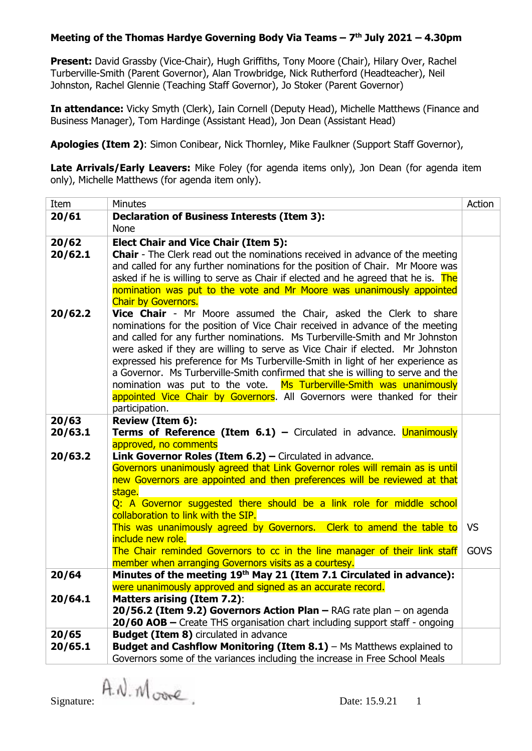**Present:** David Grassby (Vice-Chair), Hugh Griffiths, Tony Moore (Chair), Hilary Over, Rachel Turberville-Smith (Parent Governor), Alan Trowbridge, Nick Rutherford (Headteacher), Neil Johnston, Rachel Glennie (Teaching Staff Governor), Jo Stoker (Parent Governor)

**In attendance:** Vicky Smyth (Clerk), Iain Cornell (Deputy Head), Michelle Matthews (Finance and Business Manager), Tom Hardinge (Assistant Head), Jon Dean (Assistant Head)

**Apologies (Item 2)**: Simon Conibear, Nick Thornley, Mike Faulkner (Support Staff Governor),

**Late Arrivals/Early Leavers:** Mike Foley (for agenda items only), Jon Dean (for agenda item only), Michelle Matthews (for agenda item only).

| Item                                                                                                                                                          | <b>Minutes</b>                                                                                                                                             | Action      |  |  |  |  |
|---------------------------------------------------------------------------------------------------------------------------------------------------------------|------------------------------------------------------------------------------------------------------------------------------------------------------------|-------------|--|--|--|--|
| 20/61                                                                                                                                                         | <b>Declaration of Business Interests (Item 3):</b>                                                                                                         |             |  |  |  |  |
|                                                                                                                                                               | <b>None</b>                                                                                                                                                |             |  |  |  |  |
| 20/62                                                                                                                                                         | <b>Elect Chair and Vice Chair (Item 5):</b>                                                                                                                |             |  |  |  |  |
| 20/62.1                                                                                                                                                       | <b>Chair</b> - The Clerk read out the nominations received in advance of the meeting                                                                       |             |  |  |  |  |
|                                                                                                                                                               | and called for any further nominations for the position of Chair. Mr Moore was                                                                             |             |  |  |  |  |
|                                                                                                                                                               | asked if he is willing to serve as Chair if elected and he agreed that he is. The                                                                          |             |  |  |  |  |
|                                                                                                                                                               | nomination was put to the vote and Mr Moore was unanimously appointed<br><b>Chair by Governors.</b>                                                        |             |  |  |  |  |
|                                                                                                                                                               |                                                                                                                                                            |             |  |  |  |  |
|                                                                                                                                                               | 20/62.2<br>Vice Chair - Mr Moore assumed the Chair, asked the Clerk to share                                                                               |             |  |  |  |  |
| nominations for the position of Vice Chair received in advance of the meeting<br>and called for any further nominations. Ms Turberville-Smith and Mr Johnston |                                                                                                                                                            |             |  |  |  |  |
|                                                                                                                                                               | were asked if they are willing to serve as Vice Chair if elected. Mr Johnston                                                                              |             |  |  |  |  |
|                                                                                                                                                               | expressed his preference for Ms Turberville-Smith in light of her experience as                                                                            |             |  |  |  |  |
|                                                                                                                                                               | a Governor. Ms Turberville-Smith confirmed that she is willing to serve and the                                                                            |             |  |  |  |  |
|                                                                                                                                                               | nomination was put to the vote. Ms Turberville-Smith was unanimously                                                                                       |             |  |  |  |  |
|                                                                                                                                                               | appointed Vice Chair by Governors. All Governors were thanked for their                                                                                    |             |  |  |  |  |
|                                                                                                                                                               | participation.                                                                                                                                             |             |  |  |  |  |
| 20/63                                                                                                                                                         | Review (Item 6):                                                                                                                                           |             |  |  |  |  |
| 20/63.1                                                                                                                                                       | <b>Terms of Reference (Item 6.1) -</b> Circulated in advance. <b>Unanimously</b>                                                                           |             |  |  |  |  |
|                                                                                                                                                               | approved, no comments                                                                                                                                      |             |  |  |  |  |
| 20/63.2                                                                                                                                                       | Link Governor Roles (Item 6.2) - Circulated in advance.                                                                                                    |             |  |  |  |  |
|                                                                                                                                                               | Governors unanimously agreed that Link Governor roles will remain as is until<br>new Governors are appointed and then preferences will be reviewed at that |             |  |  |  |  |
|                                                                                                                                                               | stage.                                                                                                                                                     |             |  |  |  |  |
|                                                                                                                                                               | Q: A Governor suggested there should be a link role for middle school                                                                                      |             |  |  |  |  |
|                                                                                                                                                               | collaboration to link with the SIP.                                                                                                                        |             |  |  |  |  |
|                                                                                                                                                               | This was unanimously agreed by Governors. Clerk to amend the table to                                                                                      | <b>VS</b>   |  |  |  |  |
|                                                                                                                                                               | include new role.                                                                                                                                          |             |  |  |  |  |
|                                                                                                                                                               | The Chair reminded Governors to cc in the line manager of their link staff                                                                                 | <b>GOVS</b> |  |  |  |  |
|                                                                                                                                                               | member when arranging Governors visits as a courtesy.                                                                                                      |             |  |  |  |  |
| 20/64                                                                                                                                                         | Minutes of the meeting 19th May 21 (Item 7.1 Circulated in advance):                                                                                       |             |  |  |  |  |
|                                                                                                                                                               | were unanimously approved and signed as an accurate record.                                                                                                |             |  |  |  |  |
| 20/64.1                                                                                                                                                       | <b>Matters arising (Item 7.2):</b><br>$20/56.2$ (Item 9.2) Governors Action Plan – RAG rate plan – on agenda                                               |             |  |  |  |  |
|                                                                                                                                                               | 20/60 AOB - Create THS organisation chart including support staff - ongoing                                                                                |             |  |  |  |  |
| 20/65                                                                                                                                                         | <b>Budget (Item 8)</b> circulated in advance                                                                                                               |             |  |  |  |  |
| 20/65.1                                                                                                                                                       | Budget and Cashflow Monitoring (Item $8.1$ ) – Ms Matthews explained to                                                                                    |             |  |  |  |  |
|                                                                                                                                                               | Governors some of the variances including the increase in Free School Meals                                                                                |             |  |  |  |  |

Signature:  $\mathsf{A}.\mathsf{N}.\mathsf{M}$  orde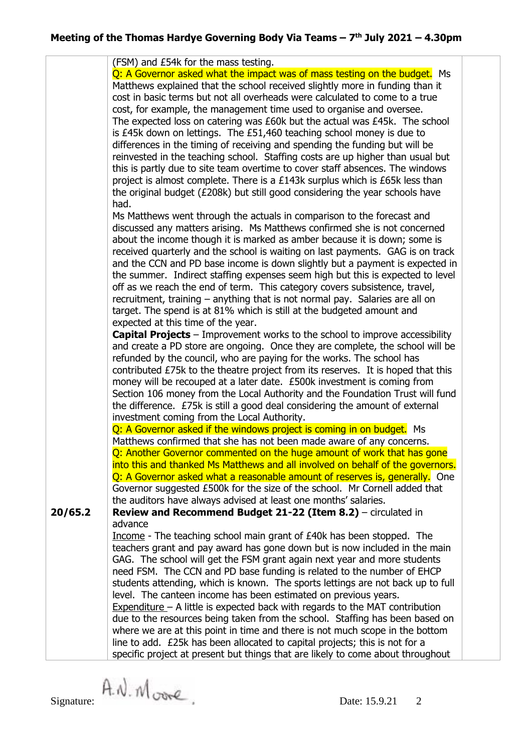|                                                                                | (FSM) and £54k for the mass testing.                                                                                                               |  |  |  |
|--------------------------------------------------------------------------------|----------------------------------------------------------------------------------------------------------------------------------------------------|--|--|--|
|                                                                                | Q: A Governor asked what the impact was of mass testing on the budget. Ms                                                                          |  |  |  |
|                                                                                | Matthews explained that the school received slightly more in funding than it                                                                       |  |  |  |
|                                                                                | cost in basic terms but not all overheads were calculated to come to a true                                                                        |  |  |  |
|                                                                                | cost, for example, the management time used to organise and oversee.                                                                               |  |  |  |
|                                                                                | The expected loss on catering was £60k but the actual was £45k. The school                                                                         |  |  |  |
|                                                                                | is £45k down on lettings. The £51,460 teaching school money is due to                                                                              |  |  |  |
|                                                                                | differences in the timing of receiving and spending the funding but will be                                                                        |  |  |  |
|                                                                                | reinvested in the teaching school. Staffing costs are up higher than usual but                                                                     |  |  |  |
|                                                                                | this is partly due to site team overtime to cover staff absences. The windows                                                                      |  |  |  |
|                                                                                | project is almost complete. There is a £143k surplus which is £65k less than                                                                       |  |  |  |
| the original budget (£208k) but still good considering the year schools have   |                                                                                                                                                    |  |  |  |
|                                                                                | had.                                                                                                                                               |  |  |  |
|                                                                                |                                                                                                                                                    |  |  |  |
| Ms Matthews went through the actuals in comparison to the forecast and         |                                                                                                                                                    |  |  |  |
| discussed any matters arising. Ms Matthews confirmed she is not concerned      |                                                                                                                                                    |  |  |  |
| about the income though it is marked as amber because it is down; some is      |                                                                                                                                                    |  |  |  |
| received quarterly and the school is waiting on last payments. GAG is on track |                                                                                                                                                    |  |  |  |
| and the CCN and PD base income is down slightly but a payment is expected in   |                                                                                                                                                    |  |  |  |
| the summer. Indirect staffing expenses seem high but this is expected to level |                                                                                                                                                    |  |  |  |
|                                                                                | off as we reach the end of term. This category covers subsistence, travel,                                                                         |  |  |  |
| recruitment, training – anything that is not normal pay. Salaries are all on   |                                                                                                                                                    |  |  |  |
| target. The spend is at 81% which is still at the budgeted amount and          |                                                                                                                                                    |  |  |  |
|                                                                                | expected at this time of the year.                                                                                                                 |  |  |  |
|                                                                                | <b>Capital Projects</b> – Improvement works to the school to improve accessibility                                                                 |  |  |  |
|                                                                                | and create a PD store are ongoing. Once they are complete, the school will be                                                                      |  |  |  |
|                                                                                | refunded by the council, who are paying for the works. The school has                                                                              |  |  |  |
|                                                                                | contributed £75k to the theatre project from its reserves. It is hoped that this                                                                   |  |  |  |
|                                                                                | money will be recouped at a later date. £500k investment is coming from                                                                            |  |  |  |
|                                                                                | Section 106 money from the Local Authority and the Foundation Trust will fund                                                                      |  |  |  |
|                                                                                | the difference. £75k is still a good deal considering the amount of external                                                                       |  |  |  |
|                                                                                | investment coming from the Local Authority.                                                                                                        |  |  |  |
|                                                                                | Q: A Governor asked if the windows project is coming in on budget. Ms                                                                              |  |  |  |
|                                                                                | Matthews confirmed that she has not been made aware of any concerns.                                                                               |  |  |  |
|                                                                                | Q: Another Governor commented on the huge amount of work that has gone                                                                             |  |  |  |
|                                                                                | into this and thanked Ms Matthews and all involved on behalf of the governors.                                                                     |  |  |  |
|                                                                                | Q: A Governor asked what a reasonable amount of reserves is, generally. One                                                                        |  |  |  |
|                                                                                | Governor suggested £500k for the size of the school. Mr Cornell added that                                                                         |  |  |  |
|                                                                                | the auditors have always advised at least one months' salaries.                                                                                    |  |  |  |
| 20/65.2                                                                        | Review and Recommend Budget 21-22 (Item 8.2) - circulated in                                                                                       |  |  |  |
|                                                                                | advance                                                                                                                                            |  |  |  |
|                                                                                | Income - The teaching school main grant of £40k has been stopped. The                                                                              |  |  |  |
|                                                                                | teachers grant and pay award has gone down but is now included in the main                                                                         |  |  |  |
|                                                                                |                                                                                                                                                    |  |  |  |
|                                                                                | GAG. The school will get the FSM grant again next year and more students<br>need FSM. The CCN and PD base funding is related to the number of EHCP |  |  |  |
|                                                                                |                                                                                                                                                    |  |  |  |
|                                                                                | students attending, which is known. The sports lettings are not back up to full                                                                    |  |  |  |
|                                                                                | level. The canteen income has been estimated on previous years.                                                                                    |  |  |  |
|                                                                                | $Expenditure - A little is expected back with regards to the MAT contribution$                                                                     |  |  |  |
|                                                                                | due to the resources being taken from the school. Staffing has been based on                                                                       |  |  |  |
|                                                                                | where we are at this point in time and there is not much scope in the bottom                                                                       |  |  |  |
|                                                                                | line to add. £25k has been allocated to capital projects; this is not for a                                                                        |  |  |  |
|                                                                                | specific project at present but things that are likely to come about throughout                                                                    |  |  |  |

Signature:  $A.M. M_{\text{core}}$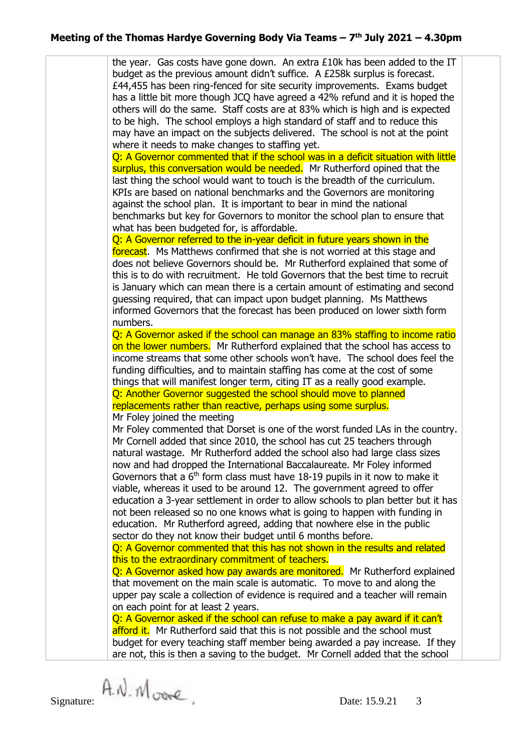the year. Gas costs have gone down. An extra  $£10k$  has been added to the IT budget as the previous amount didn't suffice. A £258k surplus is forecast. £44,455 has been ring-fenced for site security improvements. Exams budget has a little bit more though JCQ have agreed a 42% refund and it is hoped the others will do the same. Staff costs are at 83% which is high and is expected to be high. The school employs a high standard of staff and to reduce this may have an impact on the subjects delivered. The school is not at the point where it needs to make changes to staffing yet. Q: A Governor commented that if the school was in a deficit situation with little surplus, this conversation would be needed. Mr Rutherford opined that the last thing the school would want to touch is the breadth of the curriculum. KPIs are based on national benchmarks and the Governors are monitoring against the school plan. It is important to bear in mind the national benchmarks but key for Governors to monitor the school plan to ensure that what has been budgeted for, is affordable. Q: A Governor referred to the in-year deficit in future years shown in the forecast. Ms Matthews confirmed that she is not worried at this stage and does not believe Governors should be. Mr Rutherford explained that some of this is to do with recruitment. He told Governors that the best time to recruit is January which can mean there is a certain amount of estimating and second guessing required, that can impact upon budget planning. Ms Matthews informed Governors that the forecast has been produced on lower sixth form numbers. Q: A Governor asked if the school can manage an 83% staffing to income ratio on the lower numbers. Mr Rutherford explained that the school has access to income streams that some other schools won't have. The school does feel the funding difficulties, and to maintain staffing has come at the cost of some things that will manifest longer term, citing IT as a really good example. Q: Another Governor suggested the school should move to planned replacements rather than reactive, perhaps using some surplus. Mr Foley joined the meeting Mr Foley commented that Dorset is one of the worst funded LAs in the country. Mr Cornell added that since 2010, the school has cut 25 teachers through natural wastage. Mr Rutherford added the school also had large class sizes now and had dropped the International Baccalaureate. Mr Foley informed Governors that a  $6<sup>th</sup>$  form class must have 18-19 pupils in it now to make it viable, whereas it used to be around 12. The government agreed to offer education a 3-year settlement in order to allow schools to plan better but it has not been released so no one knows what is going to happen with funding in education. Mr Rutherford agreed, adding that nowhere else in the public sector do they not know their budget until 6 months before. Q: A Governor commented that this has not shown in the results and related this to the extraordinary commitment of teachers. Q: A Governor asked how pay awards are monitored. Mr Rutherford explained that movement on the main scale is automatic. To move to and along the upper pay scale a collection of evidence is required and a teacher will remain on each point for at least 2 years. Q: A Governor asked if the school can refuse to make a pay award if it can't afford it. Mr Rutherford said that this is not possible and the school must budget for every teaching staff member being awarded a pay increase. If they

are not, this is then a saving to the budget. Mr Cornell added that the school

 $Signature:$   $A \mathcal{N} \cdot \mathcal{N}$  over  $Date: 15.9.21 \quad 3$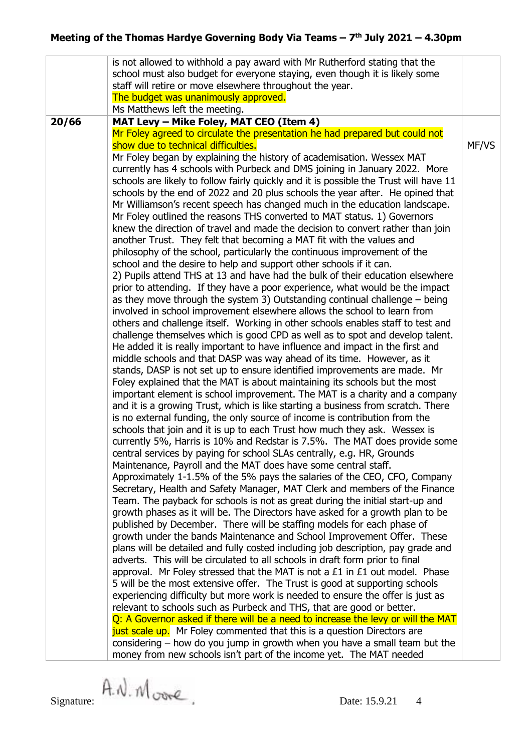|       | is not allowed to withhold a pay award with Mr Rutherford stating that the<br>school must also budget for everyone staying, even though it is likely some<br>staff will retire or move elsewhere throughout the year.<br>The budget was unanimously approved.<br>Ms Matthews left the meeting.                                                                                                                                                                                                                                                                                                                                                                                                                                                                                                                                                                                                                                                                                                                                                                                                                                                                                                                                                                                                                                                                                                                                                                                                                                                                                                                                                                                                                                                                                                                                                                                                                                                                                                                                                                                                                                                                                                                                                                                                                                                                                                                                                                                                                                                                                                                                                                                                                                                                                                                                                                                                                                                                                                                                                                                                                                                                                                                                                                                                                                                                                                                                                                                                                                                                                                                                                         |       |
|-------|--------------------------------------------------------------------------------------------------------------------------------------------------------------------------------------------------------------------------------------------------------------------------------------------------------------------------------------------------------------------------------------------------------------------------------------------------------------------------------------------------------------------------------------------------------------------------------------------------------------------------------------------------------------------------------------------------------------------------------------------------------------------------------------------------------------------------------------------------------------------------------------------------------------------------------------------------------------------------------------------------------------------------------------------------------------------------------------------------------------------------------------------------------------------------------------------------------------------------------------------------------------------------------------------------------------------------------------------------------------------------------------------------------------------------------------------------------------------------------------------------------------------------------------------------------------------------------------------------------------------------------------------------------------------------------------------------------------------------------------------------------------------------------------------------------------------------------------------------------------------------------------------------------------------------------------------------------------------------------------------------------------------------------------------------------------------------------------------------------------------------------------------------------------------------------------------------------------------------------------------------------------------------------------------------------------------------------------------------------------------------------------------------------------------------------------------------------------------------------------------------------------------------------------------------------------------------------------------------------------------------------------------------------------------------------------------------------------------------------------------------------------------------------------------------------------------------------------------------------------------------------------------------------------------------------------------------------------------------------------------------------------------------------------------------------------------------------------------------------------------------------------------------------------------------------------------------------------------------------------------------------------------------------------------------------------------------------------------------------------------------------------------------------------------------------------------------------------------------------------------------------------------------------------------------------------------------------------------------------------------------------------------------------|-------|
| 20/66 | MAT Levy - Mike Foley, MAT CEO (Item 4)<br>Mr Foley agreed to circulate the presentation he had prepared but could not<br>show due to technical difficulties.<br>Mr Foley began by explaining the history of academisation. Wessex MAT<br>currently has 4 schools with Purbeck and DMS joining in January 2022. More<br>schools are likely to follow fairly quickly and it is possible the Trust will have 11<br>schools by the end of 2022 and 20 plus schools the year after. He opined that<br>Mr Williamson's recent speech has changed much in the education landscape.<br>Mr Foley outlined the reasons THS converted to MAT status. 1) Governors<br>knew the direction of travel and made the decision to convert rather than join<br>another Trust. They felt that becoming a MAT fit with the values and<br>philosophy of the school, particularly the continuous improvement of the<br>school and the desire to help and support other schools if it can.<br>2) Pupils attend THS at 13 and have had the bulk of their education elsewhere<br>prior to attending. If they have a poor experience, what would be the impact<br>as they move through the system 3) Outstanding continual challenge $-$ being<br>involved in school improvement elsewhere allows the school to learn from<br>others and challenge itself. Working in other schools enables staff to test and<br>challenge themselves which is good CPD as well as to spot and develop talent.<br>He added it is really important to have influence and impact in the first and<br>middle schools and that DASP was way ahead of its time. However, as it<br>stands, DASP is not set up to ensure identified improvements are made. Mr<br>Foley explained that the MAT is about maintaining its schools but the most<br>important element is school improvement. The MAT is a charity and a company<br>and it is a growing Trust, which is like starting a business from scratch. There<br>is no external funding, the only source of income is contribution from the<br>schools that join and it is up to each Trust how much they ask. Wessex is<br>currently 5%, Harris is 10% and Redstar is 7.5%. The MAT does provide some<br>central services by paying for school SLAs centrally, e.g. HR, Grounds<br>Maintenance, Payroll and the MAT does have some central staff.<br>Approximately 1-1.5% of the 5% pays the salaries of the CEO, CFO, Company<br>Secretary, Health and Safety Manager, MAT Clerk and members of the Finance<br>Team. The payback for schools is not as great during the initial start-up and<br>growth phases as it will be. The Directors have asked for a growth plan to be<br>published by December. There will be staffing models for each phase of<br>growth under the bands Maintenance and School Improvement Offer. These<br>plans will be detailed and fully costed including job description, pay grade and<br>adverts. This will be circulated to all schools in draft form prior to final<br>approval. Mr Foley stressed that the MAT is not a £1 in £1 out model. Phase<br>5 will be the most extensive offer. The Trust is good at supporting schools<br>experiencing difficulty but more work is needed to ensure the offer is just as<br>relevant to schools such as Purbeck and THS, that are good or better.<br>Q: A Governor asked if there will be a need to increase the levy or will the MAT<br>just scale up. Mr Foley commented that this is a question Directors are<br>considering $-$ how do you jump in growth when you have a small team but the<br>money from new schools isn't part of the income yet. The MAT needed | MF/VS |

Signature:  $\hat{A}$ .  $\hat{M}$ .  $\hat{M}$  or  $\hat{C}$ . Date: 15.9.21 4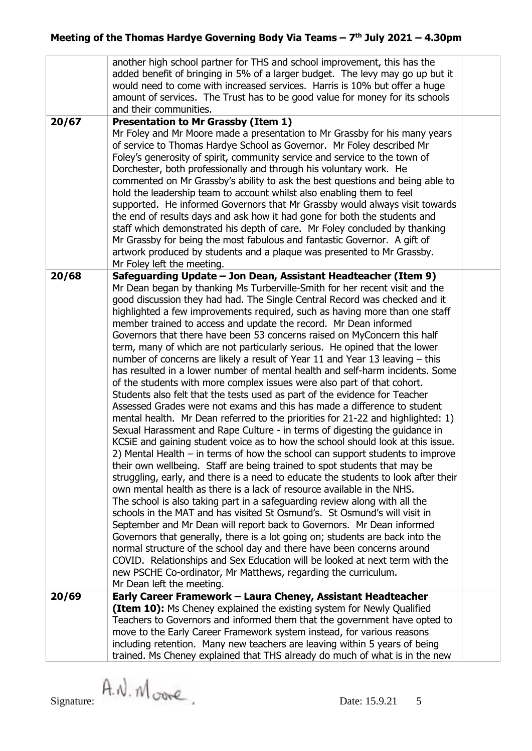|       | another high school partner for THS and school improvement, this has the<br>added benefit of bringing in 5% of a larger budget. The levy may go up but it<br>would need to come with increased services. Harris is 10% but offer a huge<br>amount of services. The Trust has to be good value for money for its schools<br>and their communities.                                                                                                                                                                                                                                                                                                                                                                                                                                                                                                                                                                                                                                                                                                                                                                                                                                                                                                                                                                                                                                                                                                                                                                                                                                                                                                                                                                                                                                                                                                                                                                                                              |  |
|-------|----------------------------------------------------------------------------------------------------------------------------------------------------------------------------------------------------------------------------------------------------------------------------------------------------------------------------------------------------------------------------------------------------------------------------------------------------------------------------------------------------------------------------------------------------------------------------------------------------------------------------------------------------------------------------------------------------------------------------------------------------------------------------------------------------------------------------------------------------------------------------------------------------------------------------------------------------------------------------------------------------------------------------------------------------------------------------------------------------------------------------------------------------------------------------------------------------------------------------------------------------------------------------------------------------------------------------------------------------------------------------------------------------------------------------------------------------------------------------------------------------------------------------------------------------------------------------------------------------------------------------------------------------------------------------------------------------------------------------------------------------------------------------------------------------------------------------------------------------------------------------------------------------------------------------------------------------------------|--|
| 20/67 | <b>Presentation to Mr Grassby (Item 1)</b><br>Mr Foley and Mr Moore made a presentation to Mr Grassby for his many years<br>of service to Thomas Hardye School as Governor. Mr Foley described Mr<br>Foley's generosity of spirit, community service and service to the town of<br>Dorchester, both professionally and through his voluntary work. He<br>commented on Mr Grassby's ability to ask the best questions and being able to<br>hold the leadership team to account whilst also enabling them to feel<br>supported. He informed Governors that Mr Grassby would always visit towards<br>the end of results days and ask how it had gone for both the students and<br>staff which demonstrated his depth of care. Mr Foley concluded by thanking<br>Mr Grassby for being the most fabulous and fantastic Governor. A gift of<br>artwork produced by students and a plaque was presented to Mr Grassby.<br>Mr Foley left the meeting.                                                                                                                                                                                                                                                                                                                                                                                                                                                                                                                                                                                                                                                                                                                                                                                                                                                                                                                                                                                                                  |  |
| 20/68 | Safeguarding Update - Jon Dean, Assistant Headteacher (Item 9)<br>Mr Dean began by thanking Ms Turberville-Smith for her recent visit and the                                                                                                                                                                                                                                                                                                                                                                                                                                                                                                                                                                                                                                                                                                                                                                                                                                                                                                                                                                                                                                                                                                                                                                                                                                                                                                                                                                                                                                                                                                                                                                                                                                                                                                                                                                                                                  |  |
|       | good discussion they had had. The Single Central Record was checked and it<br>highlighted a few improvements required, such as having more than one staff<br>member trained to access and update the record. Mr Dean informed<br>Governors that there have been 53 concerns raised on MyConcern this half<br>term, many of which are not particularly serious. He opined that the lower<br>number of concerns are likely a result of Year 11 and Year 13 leaving $-$ this<br>has resulted in a lower number of mental health and self-harm incidents. Some<br>of the students with more complex issues were also part of that cohort.<br>Students also felt that the tests used as part of the evidence for Teacher<br>Assessed Grades were not exams and this has made a difference to student<br>mental health. Mr Dean referred to the priorities for 21-22 and highlighted: 1)<br>Sexual Harassment and Rape Culture - in terms of digesting the guidance in<br>KCSIE and gaining student voice as to how the school should look at this issue.<br>2) Mental Health - in terms of how the school can support students to improve<br>their own wellbeing. Staff are being trained to spot students that may be<br>struggling, early, and there is a need to educate the students to look after their<br>own mental health as there is a lack of resource available in the NHS.<br>The school is also taking part in a safeguarding review along with all the<br>schools in the MAT and has visited St Osmund's. St Osmund's will visit in<br>September and Mr Dean will report back to Governors. Mr Dean informed<br>Governors that generally, there is a lot going on; students are back into the<br>normal structure of the school day and there have been concerns around<br>COVID. Relationships and Sex Education will be looked at next term with the<br>new PSCHE Co-ordinator, Mr Matthews, regarding the curriculum.<br>Mr Dean left the meeting. |  |
| 20/69 | Early Career Framework - Laura Cheney, Assistant Headteacher<br><b>(Item 10):</b> Ms Cheney explained the existing system for Newly Qualified                                                                                                                                                                                                                                                                                                                                                                                                                                                                                                                                                                                                                                                                                                                                                                                                                                                                                                                                                                                                                                                                                                                                                                                                                                                                                                                                                                                                                                                                                                                                                                                                                                                                                                                                                                                                                  |  |
|       | Teachers to Governors and informed them that the government have opted to<br>move to the Early Career Framework system instead, for various reasons<br>including retention. Many new teachers are leaving within 5 years of being<br>trained. Ms Cheney explained that THS already do much of what is in the new                                                                                                                                                                                                                                                                                                                                                                                                                                                                                                                                                                                                                                                                                                                                                                                                                                                                                                                                                                                                                                                                                                                                                                                                                                                                                                                                                                                                                                                                                                                                                                                                                                               |  |
|       |                                                                                                                                                                                                                                                                                                                                                                                                                                                                                                                                                                                                                                                                                                                                                                                                                                                                                                                                                                                                                                                                                                                                                                                                                                                                                                                                                                                                                                                                                                                                                                                                                                                                                                                                                                                                                                                                                                                                                                |  |

Signature:  $\hat{A}$ .  $\hat{M}$ .  $\hat{M}$  or  $\hat{C}$ . Date: 15.9.21 5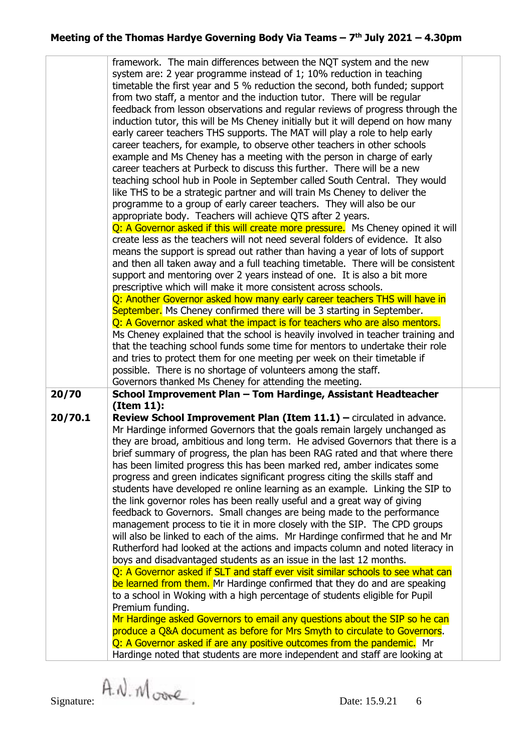|                                                                           | framework. The main differences between the NQT system and the new               |  |  |  |  |
|---------------------------------------------------------------------------|----------------------------------------------------------------------------------|--|--|--|--|
|                                                                           | system are: 2 year programme instead of 1; 10% reduction in teaching             |  |  |  |  |
|                                                                           | timetable the first year and 5 % reduction the second, both funded; support      |  |  |  |  |
|                                                                           | from two staff, a mentor and the induction tutor. There will be regular          |  |  |  |  |
|                                                                           | feedback from lesson observations and regular reviews of progress through the    |  |  |  |  |
|                                                                           | induction tutor, this will be Ms Cheney initially but it will depend on how many |  |  |  |  |
|                                                                           | early career teachers THS supports. The MAT will play a role to help early       |  |  |  |  |
| career teachers, for example, to observe other teachers in other schools  |                                                                                  |  |  |  |  |
|                                                                           |                                                                                  |  |  |  |  |
|                                                                           | example and Ms Cheney has a meeting with the person in charge of early           |  |  |  |  |
|                                                                           | career teachers at Purbeck to discuss this further. There will be a new          |  |  |  |  |
|                                                                           | teaching school hub in Poole in September called South Central. They would       |  |  |  |  |
|                                                                           | like THS to be a strategic partner and will train Ms Cheney to deliver the       |  |  |  |  |
|                                                                           | programme to a group of early career teachers. They will also be our             |  |  |  |  |
| appropriate body. Teachers will achieve QTS after 2 years.                |                                                                                  |  |  |  |  |
|                                                                           | Q: A Governor asked if this will create more pressure. Ms Cheney opined it will  |  |  |  |  |
|                                                                           | create less as the teachers will not need several folders of evidence. It also   |  |  |  |  |
|                                                                           | means the support is spread out rather than having a year of lots of support     |  |  |  |  |
|                                                                           | and then all taken away and a full teaching timetable. There will be consistent  |  |  |  |  |
|                                                                           | support and mentoring over 2 years instead of one. It is also a bit more         |  |  |  |  |
|                                                                           | prescriptive which will make it more consistent across schools.                  |  |  |  |  |
|                                                                           | Q: Another Governor asked how many early career teachers THS will have in        |  |  |  |  |
|                                                                           | September. Ms Cheney confirmed there will be 3 starting in September.            |  |  |  |  |
| Q: A Governor asked what the impact is for teachers who are also mentors. |                                                                                  |  |  |  |  |
|                                                                           | Ms Cheney explained that the school is heavily involved in teacher training and  |  |  |  |  |
|                                                                           | that the teaching school funds some time for mentors to undertake their role     |  |  |  |  |
|                                                                           | and tries to protect them for one meeting per week on their timetable if         |  |  |  |  |
|                                                                           |                                                                                  |  |  |  |  |
|                                                                           |                                                                                  |  |  |  |  |
|                                                                           | possible. There is no shortage of volunteers among the staff.                    |  |  |  |  |
|                                                                           | Governors thanked Ms Cheney for attending the meeting.                           |  |  |  |  |
| 20/70                                                                     | School Improvement Plan - Tom Hardinge, Assistant Headteacher                    |  |  |  |  |
|                                                                           | (Item 11):                                                                       |  |  |  |  |
| 20/70.1                                                                   | Review School Improvement Plan (Item 11.1) - circulated in advance.              |  |  |  |  |
|                                                                           | Mr Hardinge informed Governors that the goals remain largely unchanged as        |  |  |  |  |
|                                                                           | they are broad, ambitious and long term. He advised Governors that there is a    |  |  |  |  |
|                                                                           | brief summary of progress, the plan has been RAG rated and that where there      |  |  |  |  |
|                                                                           | has been limited progress this has been marked red, amber indicates some         |  |  |  |  |
|                                                                           | progress and green indicates significant progress citing the skills staff and    |  |  |  |  |
|                                                                           | students have developed re online learning as an example. Linking the SIP to     |  |  |  |  |
|                                                                           | the link governor roles has been really useful and a great way of giving         |  |  |  |  |
|                                                                           | feedback to Governors. Small changes are being made to the performance           |  |  |  |  |
|                                                                           | management process to tie it in more closely with the SIP. The CPD groups        |  |  |  |  |
|                                                                           | will also be linked to each of the aims. Mr Hardinge confirmed that he and Mr    |  |  |  |  |
|                                                                           | Rutherford had looked at the actions and impacts column and noted literacy in    |  |  |  |  |
|                                                                           | boys and disadvantaged students as an issue in the last 12 months.               |  |  |  |  |
|                                                                           | Q: A Governor asked if SLT and staff ever visit similar schools to see what can  |  |  |  |  |
|                                                                           | be learned from them. Mr Hardinge confirmed that they do and are speaking        |  |  |  |  |
|                                                                           | to a school in Woking with a high percentage of students eligible for Pupil      |  |  |  |  |
|                                                                           | Premium funding.                                                                 |  |  |  |  |
|                                                                           | Mr Hardinge asked Governors to email any questions about the SIP so he can       |  |  |  |  |
|                                                                           | produce a Q&A document as before for Mrs Smyth to circulate to Governors.        |  |  |  |  |
|                                                                           | Q: A Governor asked if are any positive outcomes from the pandemic. Mr           |  |  |  |  |
|                                                                           | Hardinge noted that students are more independent and staff are looking at       |  |  |  |  |

Signature:  $\hat{A}$ .  $\hat{M}$  over  $\hat{C}$ . Date: 15.9.21 6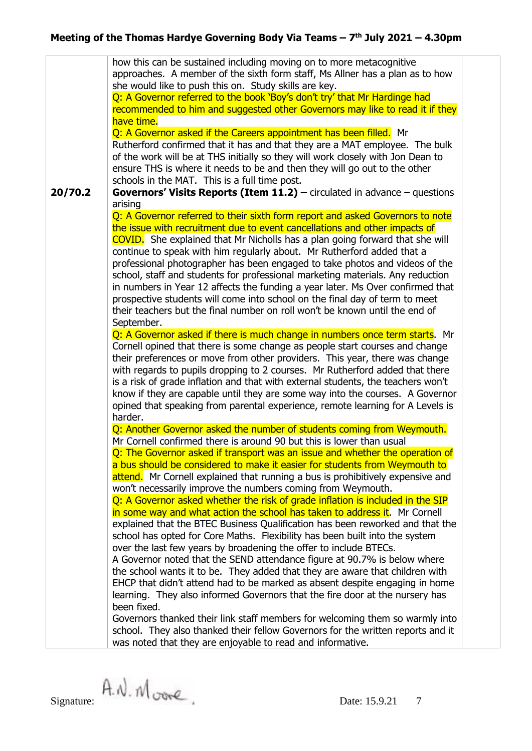**20/70.2** how this can be sustained including moving on to more metacognitive approaches. A member of the sixth form staff, Ms Allner has a plan as to how she would like to push this on. Study skills are key. Q: A Governor referred to the book 'Boy's don't try' that Mr Hardinge had recommended to him and suggested other Governors may like to read it if they have time. O: A Governor asked if the Careers appointment has been filled. Mr Rutherford confirmed that it has and that they are a MAT employee. The bulk of the work will be at THS initially so they will work closely with Jon Dean to ensure THS is where it needs to be and then they will go out to the other schools in the MAT. This is a full time post. **Governors' Visits Reports (Item 11.2) –** circulated in advance – questions arising Q: A Governor referred to their sixth form report and asked Governors to note the issue with recruitment due to event cancellations and other impacts of COVID. She explained that Mr Nicholls has a plan going forward that she will continue to speak with him regularly about. Mr Rutherford added that a professional photographer has been engaged to take photos and videos of the school, staff and students for professional marketing materials. Any reduction in numbers in Year 12 affects the funding a year later. Ms Over confirmed that prospective students will come into school on the final day of term to meet their teachers but the final number on roll won't be known until the end of September. Q: A Governor asked if there is much change in numbers once term starts. Mr Cornell opined that there is some change as people start courses and change their preferences or move from other providers. This year, there was change with regards to pupils dropping to 2 courses. Mr Rutherford added that there is a risk of grade inflation and that with external students, the teachers won't know if they are capable until they are some way into the courses. A Governor opined that speaking from parental experience, remote learning for A Levels is harder. Q: Another Governor asked the number of students coming from Weymouth. Mr Cornell confirmed there is around 90 but this is lower than usual Q: The Governor asked if transport was an issue and whether the operation of a bus should be considered to make it easier for students from Weymouth to attend. Mr Cornell explained that running a bus is prohibitively expensive and won't necessarily improve the numbers coming from Weymouth. Q: A Governor asked whether the risk of grade inflation is included in the SIP in some way and what action the school has taken to address it. Mr Cornell explained that the BTEC Business Qualification has been reworked and that the school has opted for Core Maths. Flexibility has been built into the system over the last few years by broadening the offer to include BTECs. A Governor noted that the SEND attendance figure at 90.7% is below where the school wants it to be. They added that they are aware that children with EHCP that didn't attend had to be marked as absent despite engaging in home learning. They also informed Governors that the fire door at the nursery has been fixed. Governors thanked their link staff members for welcoming them so warmly into school. They also thanked their fellow Governors for the written reports and it was noted that they are enjoyable to read and informative.

 $Signature: A. N. M core$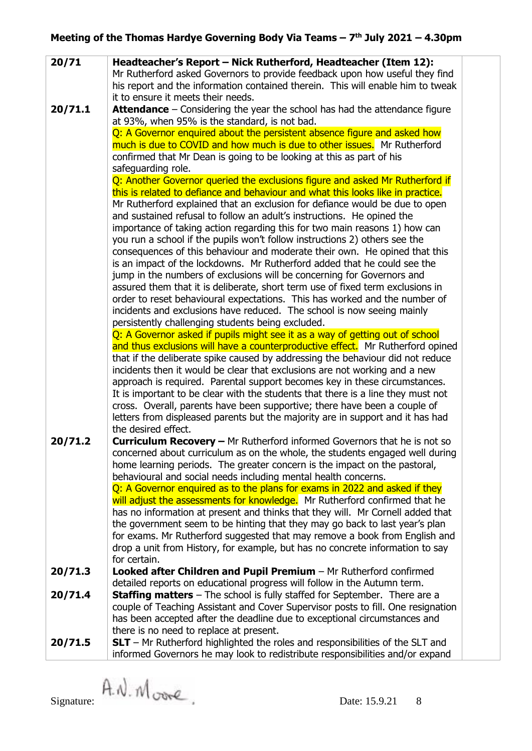| 20/71   | Headteacher's Report - Nick Rutherford, Headteacher (Item 12):                                                                                                |
|---------|---------------------------------------------------------------------------------------------------------------------------------------------------------------|
|         | Mr Rutherford asked Governors to provide feedback upon how useful they find                                                                                   |
|         | his report and the information contained therein. This will enable him to tweak                                                                               |
|         | it to ensure it meets their needs.                                                                                                                            |
| 20/71.1 | Attendance - Considering the year the school has had the attendance figure                                                                                    |
|         | at 93%, when 95% is the standard, is not bad.                                                                                                                 |
|         | Q: A Governor enquired about the persistent absence figure and asked how                                                                                      |
|         | much is due to COVID and how much is due to other issues. Mr Rutherford                                                                                       |
|         | confirmed that Mr Dean is going to be looking at this as part of his                                                                                          |
|         | safeguarding role.                                                                                                                                            |
|         | Q: Another Governor queried the exclusions figure and asked Mr Rutherford if                                                                                  |
|         | this is related to defiance and behaviour and what this looks like in practice.                                                                               |
|         | Mr Rutherford explained that an exclusion for defiance would be due to open                                                                                   |
|         | and sustained refusal to follow an adult's instructions. He opined the                                                                                        |
|         | importance of taking action regarding this for two main reasons 1) how can                                                                                    |
|         | you run a school if the pupils won't follow instructions 2) others see the<br>consequences of this behaviour and moderate their own. He opined that this      |
|         | is an impact of the lockdowns. Mr Rutherford added that he could see the                                                                                      |
|         | jump in the numbers of exclusions will be concerning for Governors and                                                                                        |
|         | assured them that it is deliberate, short term use of fixed term exclusions in                                                                                |
|         | order to reset behavioural expectations. This has worked and the number of                                                                                    |
|         | incidents and exclusions have reduced. The school is now seeing mainly                                                                                        |
|         | persistently challenging students being excluded.                                                                                                             |
|         | Q: A Governor asked if pupils might see it as a way of getting out of school                                                                                  |
|         | and thus exclusions will have a counterproductive effect. Mr Rutherford opined                                                                                |
|         | that if the deliberate spike caused by addressing the behaviour did not reduce                                                                                |
|         | incidents then it would be clear that exclusions are not working and a new                                                                                    |
|         | approach is required. Parental support becomes key in these circumstances.                                                                                    |
|         | It is important to be clear with the students that there is a line they must not                                                                              |
|         | cross. Overall, parents have been supportive; there have been a couple of                                                                                     |
|         | letters from displeased parents but the majority are in support and it has had                                                                                |
|         | the desired effect.                                                                                                                                           |
| 20/71.2 | <b>Curriculum Recovery - Mr Rutherford informed Governors that he is not so</b>                                                                               |
|         | concerned about curriculum as on the whole, the students engaged well during                                                                                  |
|         | home learning periods. The greater concern is the impact on the pastoral,                                                                                     |
|         | behavioural and social needs including mental health concerns.                                                                                                |
|         | Q: A Governor enquired as to the plans for exams in 2022 and asked if they<br>will adjust the assessments for knowledge. Mr Rutherford confirmed that he      |
|         |                                                                                                                                                               |
|         | has no information at present and thinks that they will. Mr Cornell added that<br>the government seem to be hinting that they may go back to last year's plan |
|         | for exams. Mr Rutherford suggested that may remove a book from English and                                                                                    |
|         | drop a unit from History, for example, but has no concrete information to say                                                                                 |
|         | for certain.                                                                                                                                                  |
| 20/71.3 | Looked after Children and Pupil Premium - Mr Rutherford confirmed                                                                                             |
|         | detailed reports on educational progress will follow in the Autumn term.                                                                                      |
| 20/71.4 | <b>Staffing matters</b> $-$ The school is fully staffed for September. There are a                                                                            |
|         | couple of Teaching Assistant and Cover Supervisor posts to fill. One resignation                                                                              |
|         | has been accepted after the deadline due to exceptional circumstances and                                                                                     |
|         | there is no need to replace at present.                                                                                                                       |
| 20/71.5 | $SLT$ – Mr Rutherford highlighted the roles and responsibilities of the SLT and                                                                               |
|         | informed Governors he may look to redistribute responsibilities and/or expand                                                                                 |

Signature:  $\hat{A}$ .  $\hat{M}$ ,  $\hat{M}$   $\hat{O}$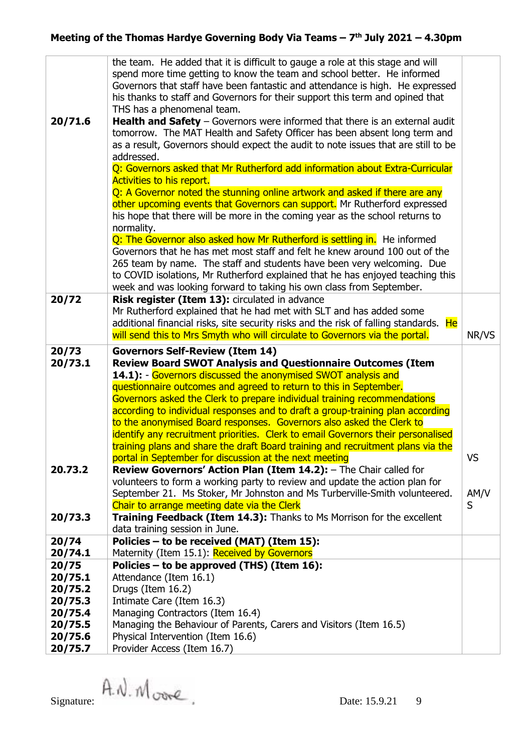| 20/71.6                                                                      | the team. He added that it is difficult to gauge a role at this stage and will<br>spend more time getting to know the team and school better. He informed<br>Governors that staff have been fantastic and attendance is high. He expressed<br>his thanks to staff and Governors for their support this term and opined that<br>THS has a phenomenal team.<br><b>Health and Safety</b> $-$ Governors were informed that there is an external audit<br>tomorrow. The MAT Health and Safety Officer has been absent long term and<br>as a result, Governors should expect the audit to note issues that are still to be<br>addressed. |           |  |  |
|------------------------------------------------------------------------------|------------------------------------------------------------------------------------------------------------------------------------------------------------------------------------------------------------------------------------------------------------------------------------------------------------------------------------------------------------------------------------------------------------------------------------------------------------------------------------------------------------------------------------------------------------------------------------------------------------------------------------|-----------|--|--|
| Q: Governors asked that Mr Rutherford add information about Extra-Curricular |                                                                                                                                                                                                                                                                                                                                                                                                                                                                                                                                                                                                                                    |           |  |  |
|                                                                              | <b>Activities to his report.</b>                                                                                                                                                                                                                                                                                                                                                                                                                                                                                                                                                                                                   |           |  |  |
|                                                                              | Q: A Governor noted the stunning online artwork and asked if there are any                                                                                                                                                                                                                                                                                                                                                                                                                                                                                                                                                         |           |  |  |
|                                                                              | other upcoming events that Governors can support. Mr Rutherford expressed                                                                                                                                                                                                                                                                                                                                                                                                                                                                                                                                                          |           |  |  |
|                                                                              | his hope that there will be more in the coming year as the school returns to                                                                                                                                                                                                                                                                                                                                                                                                                                                                                                                                                       |           |  |  |
|                                                                              | normality.                                                                                                                                                                                                                                                                                                                                                                                                                                                                                                                                                                                                                         |           |  |  |
|                                                                              | Q: The Governor also asked how Mr Rutherford is settling in. He informed                                                                                                                                                                                                                                                                                                                                                                                                                                                                                                                                                           |           |  |  |
|                                                                              | Governors that he has met most staff and felt he knew around 100 out of the<br>265 team by name. The staff and students have been very welcoming. Due                                                                                                                                                                                                                                                                                                                                                                                                                                                                              |           |  |  |
|                                                                              | to COVID isolations, Mr Rutherford explained that he has enjoyed teaching this                                                                                                                                                                                                                                                                                                                                                                                                                                                                                                                                                     |           |  |  |
|                                                                              | week and was looking forward to taking his own class from September.                                                                                                                                                                                                                                                                                                                                                                                                                                                                                                                                                               |           |  |  |
| 20/72                                                                        | Risk register (Item 13): circulated in advance                                                                                                                                                                                                                                                                                                                                                                                                                                                                                                                                                                                     |           |  |  |
|                                                                              | Mr Rutherford explained that he had met with SLT and has added some                                                                                                                                                                                                                                                                                                                                                                                                                                                                                                                                                                |           |  |  |
|                                                                              | additional financial risks, site security risks and the risk of falling standards. He                                                                                                                                                                                                                                                                                                                                                                                                                                                                                                                                              |           |  |  |
|                                                                              | will send this to Mrs Smyth who will circulate to Governors via the portal.                                                                                                                                                                                                                                                                                                                                                                                                                                                                                                                                                        | NR/VS     |  |  |
| 20/73                                                                        | <b>Governors Self-Review (Item 14)</b>                                                                                                                                                                                                                                                                                                                                                                                                                                                                                                                                                                                             |           |  |  |
|                                                                              |                                                                                                                                                                                                                                                                                                                                                                                                                                                                                                                                                                                                                                    |           |  |  |
| 20/73.1                                                                      | <b>Review Board SWOT Analysis and Questionnaire Outcomes (Item</b>                                                                                                                                                                                                                                                                                                                                                                                                                                                                                                                                                                 |           |  |  |
|                                                                              | 14.1): - Governors discussed the anonymised SWOT analysis and                                                                                                                                                                                                                                                                                                                                                                                                                                                                                                                                                                      |           |  |  |
|                                                                              | questionnaire outcomes and agreed to return to this in September.                                                                                                                                                                                                                                                                                                                                                                                                                                                                                                                                                                  |           |  |  |
|                                                                              | Governors asked the Clerk to prepare individual training recommendations                                                                                                                                                                                                                                                                                                                                                                                                                                                                                                                                                           |           |  |  |
|                                                                              | according to individual responses and to draft a group-training plan according                                                                                                                                                                                                                                                                                                                                                                                                                                                                                                                                                     |           |  |  |
|                                                                              | to the anonymised Board responses. Governors also asked the Clerk to                                                                                                                                                                                                                                                                                                                                                                                                                                                                                                                                                               |           |  |  |
|                                                                              | identify any recruitment priorities. Clerk to email Governors their personalised<br>training plans and share the draft Board training and recruitment plans via the                                                                                                                                                                                                                                                                                                                                                                                                                                                                |           |  |  |
|                                                                              | portal in September for discussion at the next meeting                                                                                                                                                                                                                                                                                                                                                                                                                                                                                                                                                                             | <b>VS</b> |  |  |
| 20.73.2                                                                      | <b>Review Governors' Action Plan (Item 14.2):</b> - The Chair called for                                                                                                                                                                                                                                                                                                                                                                                                                                                                                                                                                           |           |  |  |
|                                                                              | volunteers to form a working party to review and update the action plan for                                                                                                                                                                                                                                                                                                                                                                                                                                                                                                                                                        |           |  |  |
|                                                                              | September 21. Ms Stoker, Mr Johnston and Ms Turberville-Smith volunteered.                                                                                                                                                                                                                                                                                                                                                                                                                                                                                                                                                         | AM/V      |  |  |
|                                                                              | Chair to arrange meeting date via the Clerk                                                                                                                                                                                                                                                                                                                                                                                                                                                                                                                                                                                        | S         |  |  |
| 20/73.3                                                                      | Training Feedback (Item 14.3): Thanks to Ms Morrison for the excellent                                                                                                                                                                                                                                                                                                                                                                                                                                                                                                                                                             |           |  |  |
|                                                                              | data training session in June.                                                                                                                                                                                                                                                                                                                                                                                                                                                                                                                                                                                                     |           |  |  |
| 20/74                                                                        | Policies - to be received (MAT) (Item 15):                                                                                                                                                                                                                                                                                                                                                                                                                                                                                                                                                                                         |           |  |  |
| 20/74.1                                                                      | Maternity (Item 15.1): Received by Governors                                                                                                                                                                                                                                                                                                                                                                                                                                                                                                                                                                                       |           |  |  |
| 20/75<br>20/75.1                                                             | Policies – to be approved (THS) (Item 16):<br>Attendance (Item 16.1)                                                                                                                                                                                                                                                                                                                                                                                                                                                                                                                                                               |           |  |  |
| 20/75.2                                                                      | Drugs (Item 16.2)                                                                                                                                                                                                                                                                                                                                                                                                                                                                                                                                                                                                                  |           |  |  |
| 20/75.3                                                                      | Intimate Care (Item 16.3)                                                                                                                                                                                                                                                                                                                                                                                                                                                                                                                                                                                                          |           |  |  |
| 20/75.4                                                                      | Managing Contractors (Item 16.4)                                                                                                                                                                                                                                                                                                                                                                                                                                                                                                                                                                                                   |           |  |  |
| 20/75.5                                                                      | Managing the Behaviour of Parents, Carers and Visitors (Item 16.5)                                                                                                                                                                                                                                                                                                                                                                                                                                                                                                                                                                 |           |  |  |
| 20/75.6<br>20/75.7                                                           | Physical Intervention (Item 16.6)<br>Provider Access (Item 16.7)                                                                                                                                                                                                                                                                                                                                                                                                                                                                                                                                                                   |           |  |  |